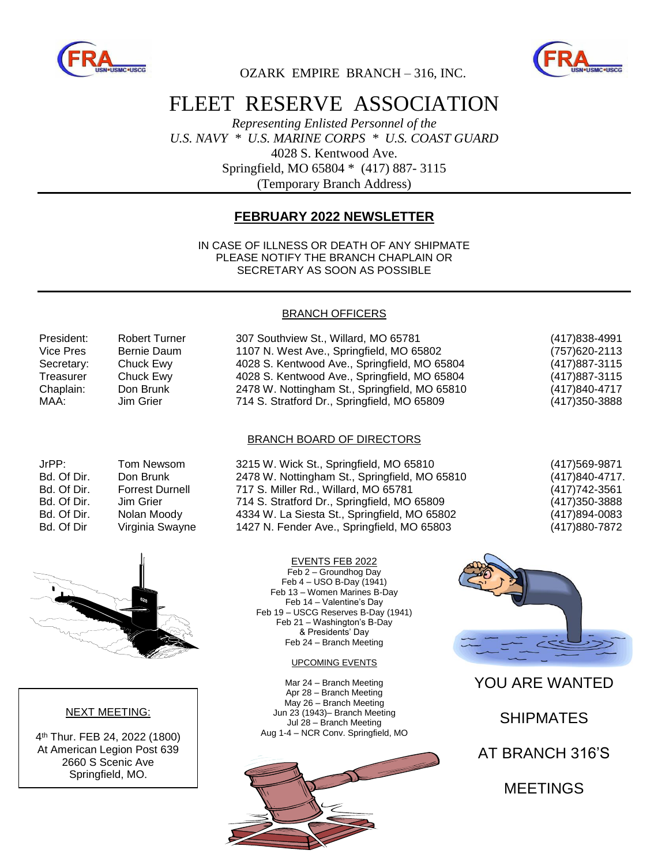



OZARK EMPIRE BRANCH – 316, INC.

## FLEET RESERVE ASSOCIATION

*Representing Enlisted Personnel of the U.S. NAVY \* U.S. MARINE CORPS \* U.S. COAST GUARD* 4028 S. Kentwood Ave. Springfield, MO 65804 \* (417) 887- 3115 (Temporary Branch Address)

### **FEBRUARY 2022 NEWSLETTER**

IN CASE OF ILLNESS OR DEATH OF ANY SHIPMATE PLEASE NOTIFY THE BRANCH CHAPLAIN OR SECRETARY AS SOON AS POSSIBLE

#### BRANCH OFFICERS

| President: | <b>Robert Turner</b> | 307 Southview St., Willard, MO 65781          | (417) 838-4991 |
|------------|----------------------|-----------------------------------------------|----------------|
| Vice Pres  | Bernie Daum          | 1107 N. West Ave., Springfield, MO 65802      | (757) 620-2113 |
| Secretary: | Chuck Ewy            | 4028 S. Kentwood Ave., Springfield, MO 65804  | (417) 887-3115 |
| Treasurer  | Chuck Ewy            | 4028 S. Kentwood Ave., Springfield, MO 65804  | (417) 887-3115 |
| Chaplain:  | Don Brunk            | 2478 W. Nottingham St., Springfield, MO 65810 | (417)840-4717  |
| MAA:       | Jim Grier            | 714 S. Stratford Dr., Springfield, MO 65809   | (417) 350-3888 |

#### BRANCH BOARD OF DIRECTORS

| JrPP:       | <b>Tom Newsom</b>    |
|-------------|----------------------|
| Bd. Of Dir. | Don Brunk            |
| Bd. Of Dir. | <b>Forrest Durne</b> |
| Bd. Of Dir. | Jim Grier            |
| Bd. Of Dir. | Nolan Moody          |
| Bd. Of Dir  | Virginia Sway        |
|             |                      |

n 3215 W. Wick St., Springfield, MO 65810 (417)569-9871 2478 W. Nottingham St., Springfield, MO 65810 (417)840-4717. Bd. Of Dir. Forrest Durnell 717 S. Miller Rd., Willard, MO 65781 (417)742-3561 714 S. Stratford Dr., Springfield, MO 65809 (417)350-3888 4334 W. La Siesta St., Springfield, MO 65802 (417)894-0083 Bd. Of Dir Virginia Swayne 1427 N. Fender Ave., Springfield, MO 65803 (417)880-7872



#### NEXT MEETING:

4 th Thur. FEB 24, 2022 (1800) At American Legion Post 639 2660 S Scenic Ave Springfield, MO.

EVENTS FEB 2022 Feb 2 – Groundhog Day Feb 4 – USO B-Day (1941) Feb 13 – Women Marines B-Day Feb 14 – Valentine's Day Feb 19 – USCG Reserves B-Day (1941) Feb 21 – Washington's B-Day & Presidents' Day Feb 24 - Branch Meeting

UPCOMING EVENTS

Mar 24 – Branch Meeting Apr 28 – Branch Meeting May 26 – Branch Meeting Jun 23 (1943)– Branch Meeting Jul 28 – Branch Meeting Aug 1-4 – NCR Conv. Springfield, MO





YOU ARE WANTED

SHIPMATES

AT BRANCH 316'S

MEETINGS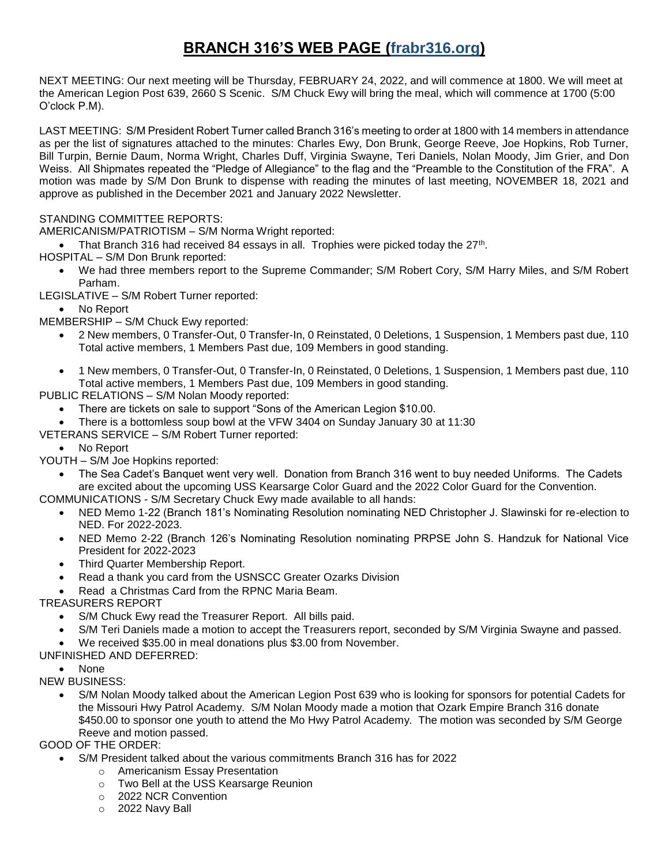## **BRANCH 316'S WEB PAGE (frabr316.org)**

NEXT MEETING: Our next meeting will be Thursday, FEBRUARY 24, 2022, and will commence at 1800. We will meet at the American Legion Post 639, 2660 S Scenic. S/M Chuck Ewy will bring the meal, which will commence at 1700 (5:00 O'clock P.M).

LAST MEETING: S/M President Robert Turner called Branch 316's meeting to order at 1800 with 14 members in attendance as per the list of signatures attached to the minutes: Charles Ewy, Don Brunk, George Reeve, Joe Hopkins, Rob Turner, Bill Turpin, Bernie Daum, Norma Wright, Charles Duff, Virginia Swayne, Teri Daniels, Nolan Moody, Jim Grier, and Don Weiss. All Shipmates repeated the "Pledge of Allegiance" to the flag and the "Preamble to the Constitution of the FRA". A motion was made by S/M Don Brunk to dispense with reading the minutes of last meeting, NOVEMBER 18, 2021 and approve as published in the December 2021 and January 2022 Newsletter.

#### STANDING COMMITTEE REPORTS:

AMERICANISM/PATRIOTISM – S/M Norma Wright reported:

- That Branch 316 had received 84 essays in all. Trophies were picked today the  $27<sup>th</sup>$ .
- HOSPITAL S/M Don Brunk reported:
	- We had three members report to the Supreme Commander; S/M Robert Cory, S/M Harry Miles, and S/M Robert Parham.
- LEGISLATIVE S/M Robert Turner reported:

No Report

MEMBERSHIP – S/M Chuck Ewy reported:

- 2 New members, 0 Transfer-Out, 0 Transfer-In, 0 Reinstated, 0 Deletions, 1 Suspension, 1 Members past due, 110 Total active members, 1 Members Past due, 109 Members in good standing.
- 1 New members, 0 Transfer-Out, 0 Transfer-In, 0 Reinstated, 0 Deletions, 1 Suspension, 1 Members past due, 110 Total active members, 1 Members Past due, 109 Members in good standing.

PUBLIC RELATIONS – S/M Nolan Moody reported:

- There are tickets on sale to support "Sons of the American Legion \$10.00.
- There is a bottomless soup bowl at the VFW 3404 on Sunday January 30 at 11:30
- VETERANS SERVICE S/M Robert Turner reported:

• No Report

- YOUTH S/M Joe Hopkins reported:
	- The Sea Cadet's Banquet went very well. Donation from Branch 316 went to buy needed Uniforms. The Cadets are excited about the upcoming USS Kearsarge Color Guard and the 2022 Color Guard for the Convention.
- COMMUNICATIONS S/M Secretary Chuck Ewy made available to all hands:
	- NED Memo 1-22 (Branch 181's Nominating Resolution nominating NED Christopher J. Slawinski for re-election to NED. For 2022-2023.
	- NED Memo 2-22 (Branch 126's Nominating Resolution nominating PRPSE John S. Handzuk for National Vice President for 2022-2023
	- Third Quarter Membership Report.
	- Read a thank you card from the USNSCC Greater Ozarks Division
	- Read a Christmas Card from the RPNC Maria Beam.

TREASURERS REPORT

- S/M Chuck Ewy read the Treasurer Report. All bills paid.
- S/M Teri Daniels made a motion to accept the Treasurers report, seconded by S/M Virginia Swayne and passed.
- We received \$35.00 in meal donations plus \$3.00 from November.

UNFINISHED AND DEFERRED:

• None

NEW BUSINESS:

 S/M Nolan Moody talked about the American Legion Post 639 who is looking for sponsors for potential Cadets for the Missouri Hwy Patrol Academy. S/M Nolan Moody made a motion that Ozark Empire Branch 316 donate \$450.00 to sponsor one youth to attend the Mo Hwy Patrol Academy. The motion was seconded by S/M George Reeve and motion passed.

GOOD OF THE ORDER:

- S/M President talked about the various commitments Branch 316 has for 2022
	- o Americanism Essay Presentation
	- o Two Bell at the USS Kearsarge Reunion
	- o 2022 NCR Convention
	- o 2022 Navy Ball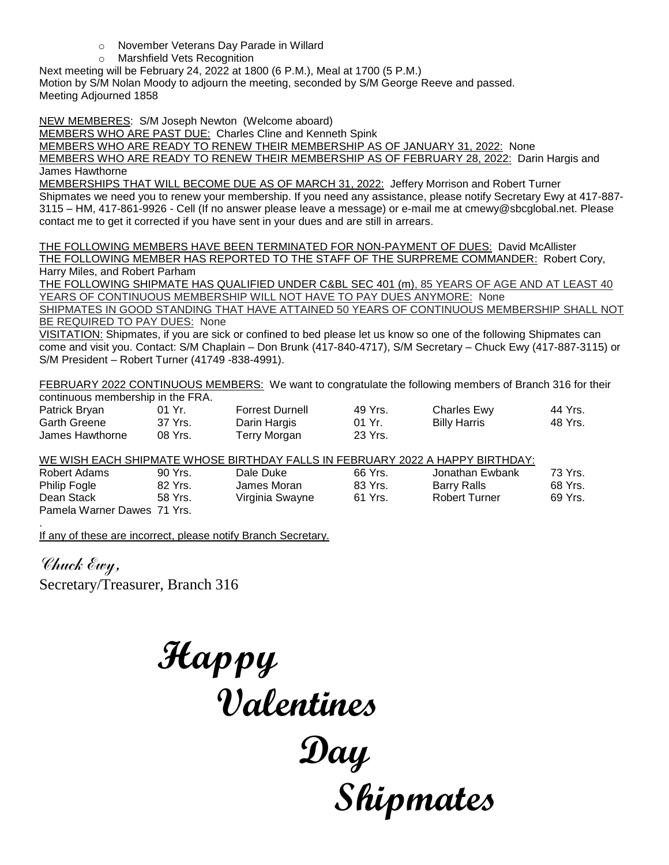- o November Veterans Day Parade in Willard
- o Marshfield Vets Recognition

Next meeting will be February 24, 2022 at 1800 (6 P.M.), Meal at 1700 (5 P.M.)

Motion by S/M Nolan Moody to adjourn the meeting, seconded by S/M George Reeve and passed. Meeting Adjourned 1858

NEW MEMBERES: S/M Joseph Newton (Welcome aboard)

MEMBERS WHO ARE PAST DUE: Charles Cline and Kenneth Spink

MEMBERS WHO ARE READY TO RENEW THEIR MEMBERSHIP AS OF JANUARY 31, 2022: None

MEMBERS WHO ARE READY TO RENEW THEIR MEMBERSHIP AS OF FEBRUARY 28, 2022: Darin Hargis and James Hawthorne

MEMBERSHIPS THAT WILL BECOME DUE AS OF MARCH 31, 2022: Jeffery Morrison and Robert Turner Shipmates we need you to renew your membership. If you need any assistance, please notify Secretary Ewy at 417-887- 3115 – HM, 417-861-9926 - Cell (If no answer please leave a message) or e-mail me at cmewy@sbcglobal.net. Please contact me to get it corrected if you have sent in your dues and are still in arrears.

THE FOLLOWING MEMBERS HAVE BEEN TERMINATED FOR NON-PAYMENT OF DUES: David McAllister THE FOLLOWING MEMBER HAS REPORTED TO THE STAFF OF THE SURPREME COMMANDER: Robert Cory, Harry Miles, and Robert Parham

THE FOLLOWING SHIPMATE HAS QUALIFIED UNDER C&BL SEC 401 (m), 85 YEARS OF AGE AND AT LEAST 40 YEARS OF CONTINUOUS MEMBERSHIP WILL NOT HAVE TO PAY DUES ANYMORE: None

SHIPMATES IN GOOD STANDING THAT HAVE ATTAINED 50 YEARS OF CONTINUOUS MEMBERSHIP SHALL NOT BE REQUIRED TO PAY DUES: None

VISITATION: Shipmates, if you are sick or confined to bed please let us know so one of the following Shipmates can come and visit you. Contact: S/M Chaplain – Don Brunk (417-840-4717), S/M Secretary – Chuck Ewy (417-887-3115) or S/M President – Robert Turner (41749 -838-4991).

FEBRUARY 2022 CONTINUOUS MEMBERS: We want to congratulate the following members of Branch 316 for their continuous membership in the FRA.

| Patrick Bryan       | 01 Yr.  | <b>Forrest Durnell</b> | 49 Yrs. | Charles Ewy         | 44 Yrs. |
|---------------------|---------|------------------------|---------|---------------------|---------|
| <b>Garth Greene</b> | 37 Yrs. | Darin Hargis           | 01 Yr.  | <b>Billy Harris</b> | 48 Yrs. |
| James Hawthorne     | 08 Yrs. | Terry Morgan           | 23 Yrs. |                     |         |

WE WISH EACH SHIPMATE WHOSE BIRTHDAY FALLS IN FEBRUARY 2022 A HAPPY BIRTHDAY:

| Robert Adams                | 90 Yrs. | Dale Duke       | 66 Yrs. | Jonathan Ewbank | 73 Yrs. |
|-----------------------------|---------|-----------------|---------|-----------------|---------|
| <b>Philip Fogle</b>         | 82 Yrs. | James Moran     | 83 Yrs. | Barry Ralls     | 68 Yrs. |
| Dean Stack                  | 58 Yrs. | Virginia Swayne | 61 Yrs. | Robert Turner   | 69 Yrs. |
| Pamela Warner Dawes 71 Yrs. |         |                 |         |                 |         |

. If any of these are incorrect, please notify Branch Secretary.

Chuck Ewy, Secretary/Treasurer, Branch 316

 **Happy Valentines Day Shipmates**